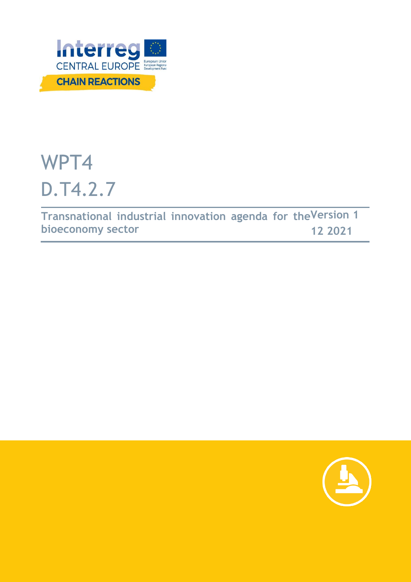

# WPT4 D.T4.2.7

**Transnational industrial innovation agenda for the Version 1 bioeconomy sector 12 2021**

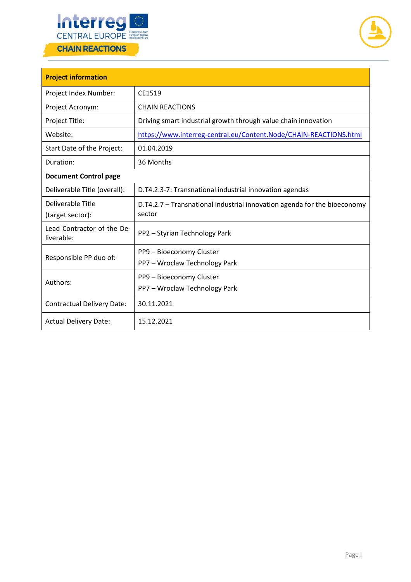



| <b>Project information</b>               |                                                                                    |  |  |  |  |
|------------------------------------------|------------------------------------------------------------------------------------|--|--|--|--|
| Project Index Number:                    | CE1519                                                                             |  |  |  |  |
| Project Acronym:                         | <b>CHAIN REACTIONS</b>                                                             |  |  |  |  |
| Project Title:                           | Driving smart industrial growth through value chain innovation                     |  |  |  |  |
| Website:                                 | https://www.interreg-central.eu/Content.Node/CHAIN-REACTIONS.html                  |  |  |  |  |
| Start Date of the Project:               | 01.04.2019                                                                         |  |  |  |  |
| Duration:                                | 36 Months                                                                          |  |  |  |  |
| <b>Document Control page</b>             |                                                                                    |  |  |  |  |
| Deliverable Title (overall):             | D.T4.2.3-7: Transnational industrial innovation agendas                            |  |  |  |  |
| Deliverable Title<br>(target sector):    | D.T4.2.7 - Transnational industrial innovation agenda for the bioeconomy<br>sector |  |  |  |  |
| Lead Contractor of the De-<br>liverable: | PP2 - Styrian Technology Park                                                      |  |  |  |  |
| Responsible PP duo of:                   | PP9 - Bioeconomy Cluster                                                           |  |  |  |  |
|                                          | PP7 - Wroclaw Technology Park                                                      |  |  |  |  |
| Authors:                                 | PP9 - Bioeconomy Cluster                                                           |  |  |  |  |
|                                          | PP7 - Wroclaw Technology Park                                                      |  |  |  |  |
| <b>Contractual Delivery Date:</b>        | 30.11.2021                                                                         |  |  |  |  |
| <b>Actual Delivery Date:</b>             | 15.12.2021                                                                         |  |  |  |  |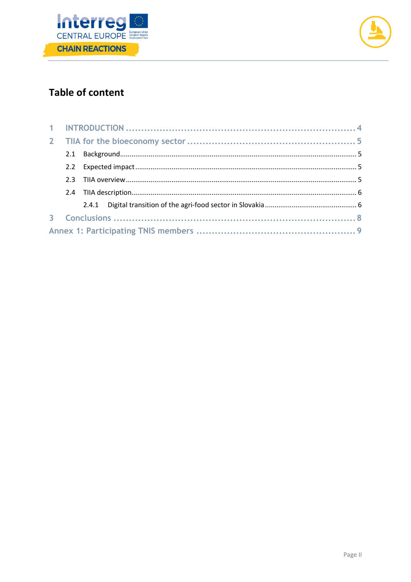



# **Table of content**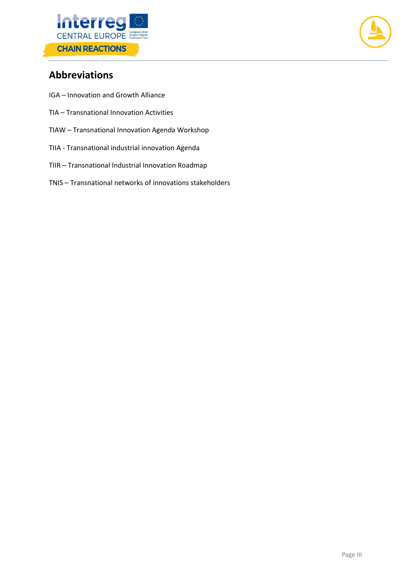



# **Abbreviations**

- IGA Innovation and Growth Alliance
- TIA Transnational Innovation Activities
- TIAW Transnational Innovation Agenda Workshop
- TIIA Transnational industrial innovation Agenda
- TIIR Transnational Industrial Innovation Roadmap
- TNIS Transnational networks of innovations stakeholders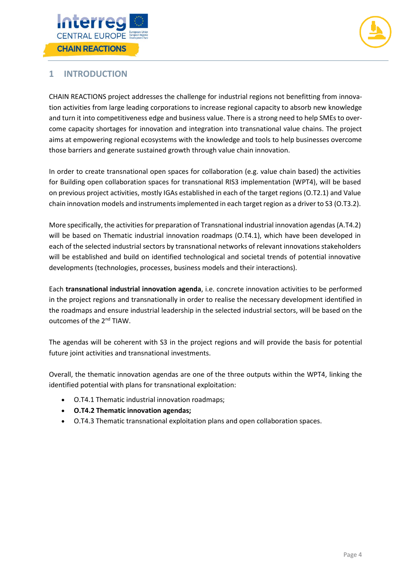



# <span id="page-4-0"></span>**1 INTRODUCTION**

CHAIN REACTIONS project addresses the challenge for industrial regions not benefitting from innovation activities from large leading corporations to increase regional capacity to absorb new knowledge and turn it into competitiveness edge and business value. There is a strong need to help SMEs to overcome capacity shortages for innovation and integration into transnational value chains. The project aims at empowering regional ecosystems with the knowledge and tools to help businesses overcome those barriers and generate sustained growth through value chain innovation.

In order to create transnational open spaces for collaboration (e.g. value chain based) the activities for Building open collaboration spaces for transnational RIS3 implementation (WPT4), will be based on previous project activities, mostly IGAs established in each of the target regions (O.T2.1) and Value chain innovation models and instruments implemented in each target region as a driver to S3 (O.T3.2).

More specifically, the activities for preparation of Transnational industrial innovation agendas(A.T4.2) will be based on Thematic industrial innovation roadmaps (O.T4.1), which have been developed in each of the selected industrial sectors by transnational networks of relevant innovations stakeholders will be established and build on identified technological and societal trends of potential innovative developments (technologies, processes, business models and their interactions).

Each **transnational industrial innovation agenda**, i.e. concrete innovation activities to be performed in the project regions and transnationally in order to realise the necessary development identified in the roadmaps and ensure industrial leadership in the selected industrial sectors, will be based on the outcomes of the 2nd TIAW.

The agendas will be coherent with S3 in the project regions and will provide the basis for potential future joint activities and transnational investments.

Overall, the thematic innovation agendas are one of the three outputs within the WPT4, linking the identified potential with plans for transnational exploitation:

- O.T4.1 Thematic industrial innovation roadmaps;
- **O.T4.2 Thematic innovation agendas;**
- O.T4.3 Thematic transnational exploitation plans and open collaboration spaces.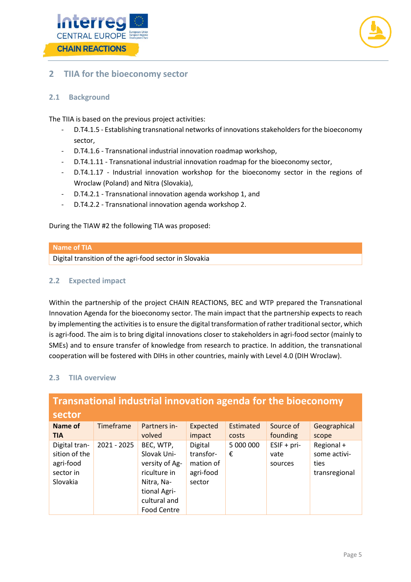



# <span id="page-5-0"></span>**2 TIIA for the bioeconomy sector**

## <span id="page-5-1"></span>**2.1 Background**

The TIIA is based on the previous project activities:

- D.T4.1.5 Establishing transnational networks of innovations stakeholders for the bioeconomy sector,
- D.T4.1.6 Transnational industrial innovation roadmap workshop,
- D.T4.1.11 Transnational industrial innovation roadmap for the bioeconomy sector,
- D.T4.1.17 Industrial innovation workshop for the bioeconomy sector in the regions of Wroclaw (Poland) and Nitra (Slovakia),
- D.T4.2.1 Transnational innovation agenda workshop 1, and
- D.T4.2.2 Transnational innovation agenda workshop 2.

During the TIAW #2 the following TIA was proposed:

#### **Name of TIA**

Digital transition of the agri-food sector in Slovakia

#### <span id="page-5-2"></span>**2.2 Expected impact**

Within the partnership of the project CHAIN REACTIONS, BEC and WTP prepared the Transnational Innovation Agenda for the bioeconomy sector. The main impact that the partnership expects to reach by implementing the activities is to ensure the digital transformation of rather traditional sector, which is agri-food. The aim is to bring digital innovations closer to stakeholders in agri-food sector (mainly to SMEs) and to ensure transfer of knowledge from research to practice. In addition, the transnational cooperation will be fostered with DIHs in other countries, mainly with Level 4.0 (DIH Wroclaw).

#### <span id="page-5-3"></span>**2.3 TIIA overview**

| <b>Transnational industrial innovation agenda for the bioeconomy</b> |             |                                                                                                                                |                                                          |                |                                  |                                                     |  |  |
|----------------------------------------------------------------------|-------------|--------------------------------------------------------------------------------------------------------------------------------|----------------------------------------------------------|----------------|----------------------------------|-----------------------------------------------------|--|--|
| sector                                                               |             |                                                                                                                                |                                                          |                |                                  |                                                     |  |  |
| <b>Name of</b>                                                       | Timeframe   | Partners in-                                                                                                                   | Expected                                                 | Estimated      | Source of                        | Geographical                                        |  |  |
| <b>TIA</b>                                                           |             | volved                                                                                                                         | impact                                                   | costs          | founding                         | scope                                               |  |  |
| Digital tran-<br>sition of the<br>agri-food<br>sector in<br>Slovakia | 2021 - 2025 | BEC, WTP,<br>Slovak Uni-<br>versity of Ag-<br>riculture in<br>Nitra, Na-<br>tional Agri-<br>cultural and<br><b>Food Centre</b> | Digital<br>transfor-<br>mation of<br>agri-food<br>sector | 5 000 000<br>€ | $ESIF + pri-$<br>vate<br>sources | Regional +<br>some activi-<br>ties<br>transregional |  |  |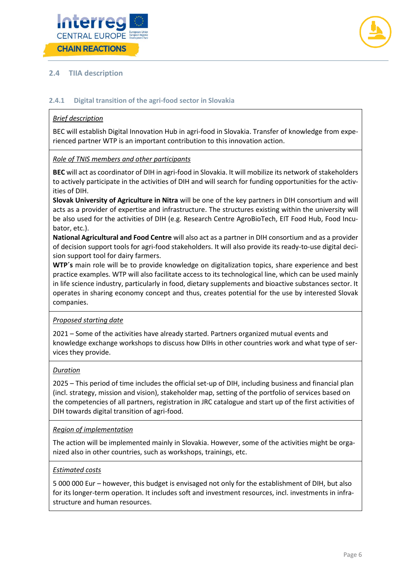



## <span id="page-6-0"></span>**2.4 TIIA description**

#### <span id="page-6-1"></span>**2.4.1 Digital transition of the agri-food sector in Slovakia**

#### *Brief description*

BEC will establish Digital Innovation Hub in agri-food in Slovakia. Transfer of knowledge from experienced partner WTP is an important contribution to this innovation action.

#### *Role of TNIS members and other participants*

**BEC** will act as coordinator of DIH in agri-food in Slovakia. It will mobilize its network of stakeholders to actively participate in the activities of DIH and will search for funding opportunities for the activities of DIH.

**Slovak University of Agriculture in Nitra** will be one of the key partners in DIH consortium and will acts as a provider of expertise and infrastructure. The structures existing within the university will be also used for the activities of DIH (e.g. Research Centre AgroBioTech, EIT Food Hub, Food Incubator, etc.).

**National Agricultural and Food Centre** will also act as a partner in DIH consortium and as a provider of decision support tools for agri-food stakeholders. It will also provide its ready-to-use digital decision support tool for dairy farmers.

**WTP´s** main role will be to provide knowledge on digitalization topics, share experience and best practice examples. WTP will also facilitate access to its technological line, which can be used mainly in life science industry, particularly in food, dietary supplements and bioactive substances sector. It operates in sharing economy concept and thus, creates potential for the use by interested Slovak companies.

#### *Proposed starting date*

2021 – Some of the activities have already started. Partners organized mutual events and knowledge exchange workshops to discuss how DIHs in other countries work and what type of services they provide.

#### *Duration*

2025 – This period of time includes the official set-up of DIH, including business and financial plan (incl. strategy, mission and vision), stakeholder map, setting of the portfolio of services based on the competencies of all partners, registration in JRC catalogue and start up of the first activities of DIH towards digital transition of agri-food.

#### *Region of implementation*

The action will be implemented mainly in Slovakia. However, some of the activities might be organized also in other countries, such as workshops, trainings, etc.

#### *Estimated costs*

5 000 000 Eur – however, this budget is envisaged not only for the establishment of DIH, but also for its longer-term operation. It includes soft and investment resources, incl. investments in infrastructure and human resources.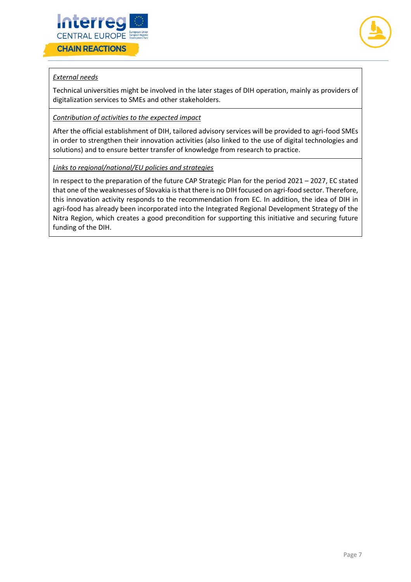



### *External needs*

Technical universities might be involved in the later stages of DIH operation, mainly as providers of digitalization services to SMEs and other stakeholders.

#### *Contribution of activities to the expected impact*

After the official establishment of DIH, tailored advisory services will be provided to agri-food SMEs in order to strengthen their innovation activities (also linked to the use of digital technologies and solutions) and to ensure better transfer of knowledge from research to practice.

#### *Links to regional/national/EU policies and strategies*

In respect to the preparation of the future CAP Strategic Plan for the period 2021 – 2027, EC stated that one of the weaknesses of Slovakia is that there is no DIH focused on agri-food sector. Therefore, this innovation activity responds to the recommendation from EC. In addition, the idea of DIH in agri-food has already been incorporated into the Integrated Regional Development Strategy of the Nitra Region, which creates a good precondition for supporting this initiative and securing future funding of the DIH.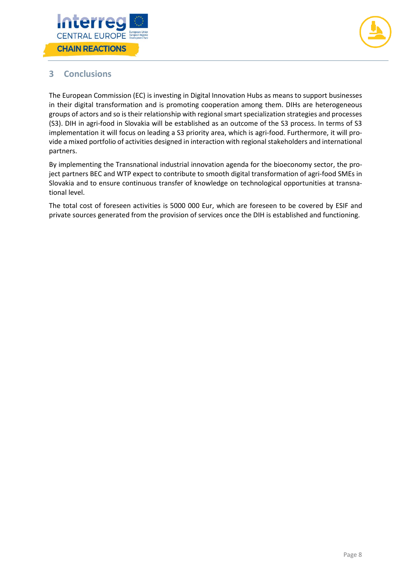



# <span id="page-8-0"></span>**3 Conclusions**

The European Commission (EC) is investing in Digital Innovation Hubs as means to support businesses in their digital transformation and is promoting cooperation among them. DIHs are heterogeneous groups of actors and so is their relationship with regional smart specialization strategies and processes (S3). DIH in agri-food in Slovakia will be established as an outcome of the S3 process. In terms of S3 implementation it will focus on leading a S3 priority area, which is agri-food. Furthermore, it will provide a mixed portfolio of activities designed in interaction with regional stakeholders and international partners.

By implementing the Transnational industrial innovation agenda for the bioeconomy sector, the project partners BEC and WTP expect to contribute to smooth digital transformation of agri-food SMEs in Slovakia and to ensure continuous transfer of knowledge on technological opportunities at transnational level.

The total cost of foreseen activities is 5000 000 Eur, which are foreseen to be covered by ESIF and private sources generated from the provision of services once the DIH is established and functioning.